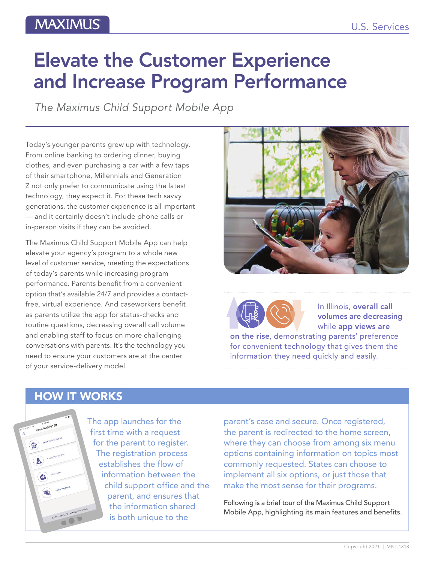# **MAXIMUS**

# Elevate the Customer Experience and Increase Program Performance

*The Maximus Child Support Mobile App*

Today's younger parents grew up with technology. From online banking to ordering dinner, buying clothes, and even purchasing a car with a few taps of their smartphone, Millennials and Generation Z not only prefer to communicate using the latest technology, they expect it. For these tech savvy generations, the customer experience is all important — and it certainly doesn't include phone calls or in-person visits if they can be avoided.

The Maximus Child Support Mobile App can help elevate your agency's program to a whole new level of customer service, meeting the expectations of today's parents while increasing program performance. Parents benefit from a convenient option that's available 24/7 and provides a contactfree, virtual experience. And caseworkers benefit as parents utilize the app for status-checks and routine questions, decreasing overall call volume and enabling staff to focus on more challenging conversations with parents. It's the technology you need to ensure your customers are at the center of your service-delivery model.





In Illinois, overall call<br>
volumes are decreasing<br>
while app views are<br>
on the rise, demonstrating parents' preference volumes are decreasing while app views are

for convenient technology that gives them the information they need quickly and easily.

### HOW IT WORKS



The app launches for the first time with a request for the parent to register. The registration process establishes the flow of information between the child support office and the parent, and ensures that the information shared is both unique to the

parent's case and secure. Once registered, the parent is redirected to the home screen, where they can choose from among six menu options containing information on topics most commonly requested. States can choose to implement all six options, or just those that make the most sense for their programs.

Following is a brief tour of the Maximus Child Support Mobile App, highlighting its main features and benefits.